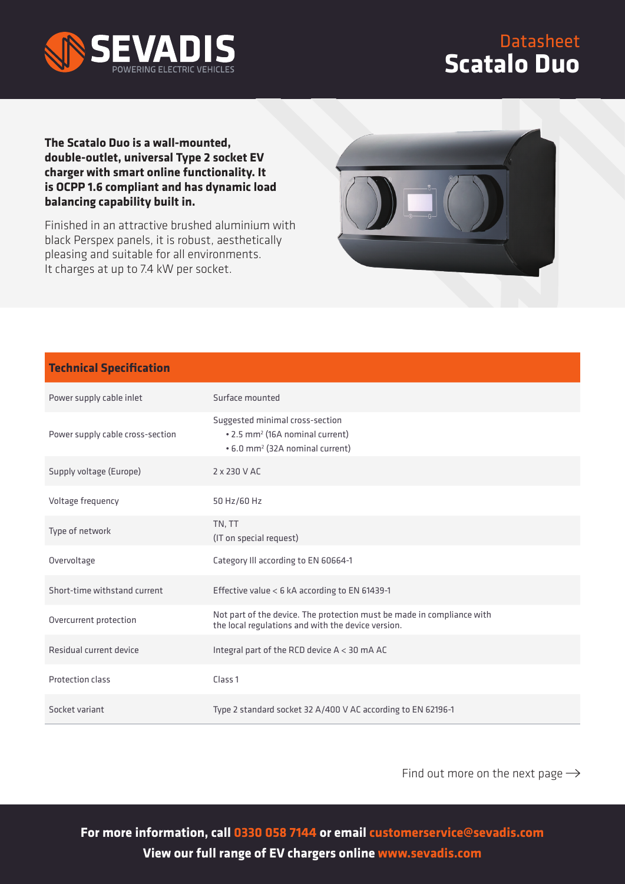

Datasheet **Scatalo Duo**

## **The Scatalo Duo is a wall-mounted, double-outlet, universal Type 2 socket EV charger with smart online functionality. It is OCPP 1.6 compliant and has dynamic load balancing capability built in.**

Finished in an attractive brushed aluminium with black Perspex panels, it is robust, aesthetically pleasing and suitable for all environments. It charges at up to 7.4 kW per socket.



## **Technical Specification**

| Power supply cable inlet         | Surface mounted                                                                                                               |
|----------------------------------|-------------------------------------------------------------------------------------------------------------------------------|
| Power supply cable cross-section | Suggested minimal cross-section<br>• 2.5 mm <sup>2</sup> (16A nominal current)<br>• 6.0 mm <sup>2</sup> (32A nominal current) |
| Supply voltage (Europe)          | 2 x 230 V AC                                                                                                                  |
| Voltage frequency                | 50 Hz/60 Hz                                                                                                                   |
| Type of network                  | TN, TT<br>(IT on special request)                                                                                             |
| Overvoltage                      | Category Ill according to EN 60664-1                                                                                          |
| Short-time withstand current     | Effective value < 6 kA according to EN 61439-1                                                                                |
| Overcurrent protection           | Not part of the device. The protection must be made in compliance with<br>the local regulations and with the device version.  |
| Residual current device          | Integral part of the RCD device $A < 30$ mA AC                                                                                |
| Protection class                 | Class <sub>1</sub>                                                                                                            |
| Socket variant                   | Type 2 standard socket 32 A/400 V AC according to EN 62196-1                                                                  |

Find out more on the next page  $\rightarrow$ 

**For more information, call 0330 058 7144 or email customerservice@sevadis.com View our full range of EV chargers online www.sevadis.com**